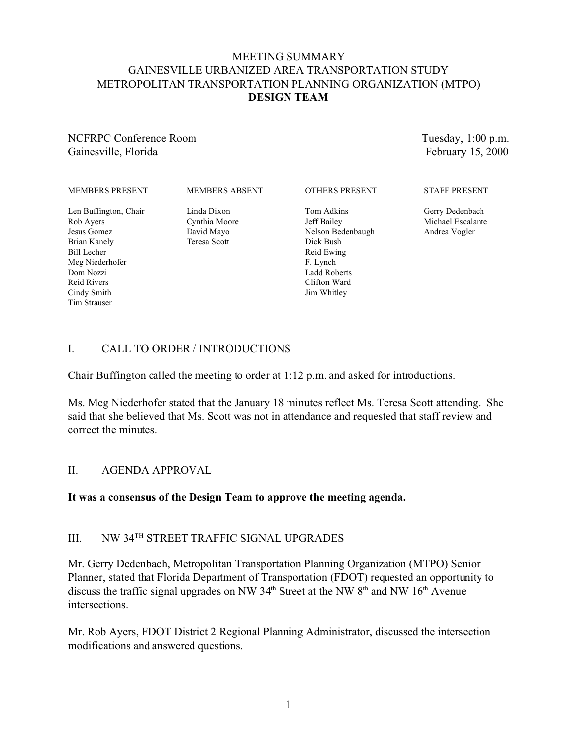# MEETING SUMMARY GAINESVILLE URBANIZED AREA TRANSPORTATION STUDY METROPOLITAN TRANSPORTATION PLANNING ORGANIZATION (MTPO) **DESIGN TEAM**

## NCFRPC Conference Room Gainesville, Florida

Tuesday, 1:00 p.m. February 15, 2000

### MEMBERS PRESENT

### MEMBERS ABSENT

Len Buffington, Chair Rob Ayers Jesus Gomez Brian Kanely Bill Lecher Meg Niederhofer Dom Nozzi Reid Rivers Cindy Smith Tim Strauser

Linda Dixon Cynthia Moore David Mayo Teresa Scott

### OTHERS PRESENT

Tom Adkins Jeff Bailey Nelson Bedenbaugh Dick Bush Reid Ewing F. Lynch Ladd Roberts Clifton Ward Jim Whitley

#### STAFF PRESENT

Gerry Dedenbach Michael Escalante Andrea Vogler

# I. CALL TO ORDER / INTRODUCTIONS

Chair Buffington called the meeting to order at 1:12 p.m. and asked for introductions.

Ms. Meg Niederhofer stated that the January 18 minutes reflect Ms. Teresa Scott attending. She said that she believed that Ms. Scott was not in attendance and requested that staff review and correct the minutes.

### II. AGENDA APPROVAL

### **It was a consensus of the Design Team to approve the meeting agenda.**

## III. NW 34TH STREET TRAFFIC SIGNAL UPGRADES

Mr. Gerry Dedenbach, Metropolitan Transportation Planning Organization (MTPO) Senior Planner, stated that Florida Department of Transportation (FDOT) requested an opportunity to discuss the traffic signal upgrades on NW 34<sup>th</sup> Street at the NW 8<sup>th</sup> and NW 16<sup>th</sup> Avenue intersections.

Mr. Rob Ayers, FDOT District 2 Regional Planning Administrator, discussed the intersection modifications and answered questions.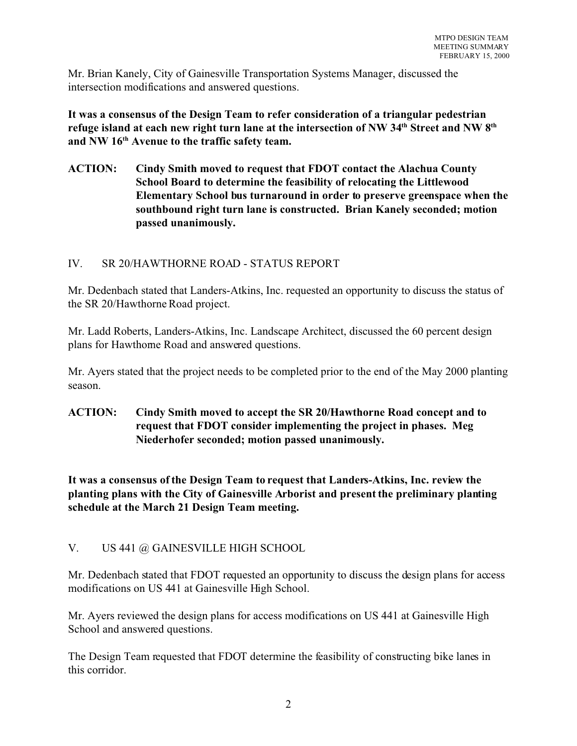Mr. Brian Kanely, City of Gainesville Transportation Systems Manager, discussed the intersection modifications and answered questions.

**It was a consensus of the Design Team to refer consideration of a triangular pedestrian refuge island at each new right turn lane at the intersection of NW 34th Street and NW 8th and NW 16th Avenue to the traffic safety team.**

**ACTION: Cindy Smith moved to request that FDOT contact the Alachua County School Board to determine the feasibility of relocating the Littlewood Elementary School bus turnaround in order to preserve greenspace when the southbound right turn lane is constructed. Brian Kanely seconded; motion passed unanimously.**

# IV. SR 20/HAWTHORNE ROAD - STATUS REPORT

Mr. Dedenbach stated that Landers-Atkins, Inc. requested an opportunity to discuss the status of the SR 20/Hawthorne Road project.

Mr. Ladd Roberts, Landers-Atkins, Inc. Landscape Architect, discussed the 60 percent design plans for Hawthorne Road and answered questions.

Mr. Ayers stated that the project needs to be completed prior to the end of the May 2000 planting season.

**ACTION: Cindy Smith moved to accept the SR 20/Hawthorne Road concept and to request that FDOT consider implementing the project in phases. Meg Niederhofer seconded; motion passed unanimously.**

**It was a consensus of the Design Team to request that Landers-Atkins, Inc. review the planting plans with the City of Gainesville Arborist and present the preliminary planting schedule at the March 21 Design Team meeting.**

# V. US 441 @ GAINESVILLE HIGH SCHOOL

Mr. Dedenbach stated that FDOT requested an opportunity to discuss the design plans for access modifications on US 441 at Gainesville High School.

Mr. Ayers reviewed the design plans for access modifications on US 441 at Gainesville High School and answered questions.

The Design Team requested that FDOT determine the feasibility of constructing bike lanes in this corridor.